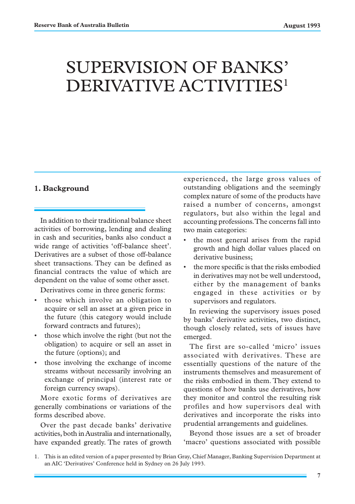# SUPERVISION OF BANKS' DERIVATIVE ACTIVITIES<sup>1</sup>

#### **1. Background**

In addition to their traditional balance sheet activities of borrowing, lending and dealing in cash and securities, banks also conduct a wide range of activities 'off-balance sheet'. Derivatives are a subset of those off-balance sheet transactions. They can be defined as financial contracts the value of which are dependent on the value of some other asset.

Derivatives come in three generic forms:

- those which involve an obligation to acquire or sell an asset at a given price in the future (this category would include forward contracts and futures);
- those which involve the right (but not the obligation) to acquire or sell an asset in the future (options); and
- those involving the exchange of income streams without necessarily involving an exchange of principal (interest rate or foreign currency swaps).

More exotic forms of derivatives are generally combinations or variations of the forms described above.

Over the past decade banks' derivative activities, both in Australia and internationally, have expanded greatly. The rates of growth experienced, the large gross values of outstanding obligations and the seemingly complex nature of some of the products have raised a number of concerns, amongst regulators, but also within the legal and accounting professions. The concerns fall into two main categories:

- the most general arises from the rapid growth and high dollar values placed on derivative business;
- the more specific is that the risks embodied in derivatives may not be well understood, either by the management of banks engaged in these activities or by supervisors and regulators.

In reviewing the supervisory issues posed by banks' derivative activities, two distinct, though closely related, sets of issues have emerged.

The first are so-called 'micro' issues associated with derivatives. These are essentially questions of the nature of the instruments themselves and measurement of the risks embodied in them. They extend to questions of how banks use derivatives, how they monitor and control the resulting risk profiles and how supervisors deal with derivatives and incorporate the risks into prudential arrangements and guidelines.

Beyond those issues are a set of broader 'macro' questions associated with possible

<sup>1.</sup> This is an edited version of a paper presented by Brian Gray, Chief Manager, Banking Supervision Department at an AIC 'Derivatives' Conference held in Sydney on 26 July 1993.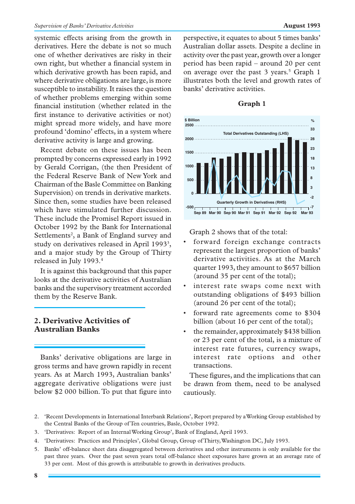#### *Supervision of Banks' Derivative Activities* **August 1993**

systemic effects arising from the growth in derivatives. Here the debate is not so much one of whether derivatives are risky in their own right, but whether a financial system in which derivative growth has been rapid, and where derivative obligations are large, is more susceptible to instability. It raises the question of whether problems emerging within some financial institution (whether related in the first instance to derivative activities or not) might spread more widely, and have more profound 'domino' effects, in a system where derivative activity is large and growing.

Recent debate on these issues has been prompted by concerns expressed early in 1992 by Gerald Corrigan, (the then President of the Federal Reserve Bank of New York and Chairman of the Basle Committee on Banking Supervision) on trends in derivative markets. Since then, some studies have been released which have stimulated further discussion. These include the Promisel Report issued in October 1992 by the Bank for International Settlements<sup>2</sup>, a Bank of England survey and study on derivatives released in April 1993<sup>3</sup>, and a major study by the Group of Thirty released in July 1993.4

It is against this background that this paper looks at the derivative activities of Australian banks and the supervisory treatment accorded them by the Reserve Bank.

# **2. Derivative Activities of Australian Banks**

Banks' derivative obligations are large in gross terms and have grown rapidly in recent years. As at March 1993, Australian banks' aggregate derivative obligations were just below \$2 000 billion. To put that figure into perspective, it equates to about 5 times banks' Australian dollar assets. Despite a decline in activity over the past year, growth over a longer period has been rapid – around 20 per cent on average over the past 3 years.<sup>5</sup> Graph 1 illustrates both the level and growth rates of banks' derivative activities.



**Graph 1**

Graph 2 shows that of the total:

- forward foreign exchange contracts represent the largest proportion of banks' derivative activities. As at the March quarter 1993, they amount to \$657 billion (around 35 per cent of the total);
- interest rate swaps come next with outstanding obligations of \$493 billion (around 26 per cent of the total);
- forward rate agreements come to \$304 billion (about 16 per cent of the total);
- the remainder, approximately \$438 billion or 23 per cent of the total, is a mixture of interest rate futures, currency swaps, interest rate options and other transactions.

These figures, and the implications that can be drawn from them, need to be analysed cautiously.

- 3. 'Derivatives: Report of an Internal Working Group', Bank of England, April 1993.
- 4. 'Derivatives: Practices and Principles', Global Group, Group of Thirty, Washington DC, July 1993.
- 5. Banks' off-balance sheet data disaggregated between derivatives and other instruments is only available for the past three years. Over the past seven years total off-balance sheet exposures have grown at an average rate of 33 per cent. Most of this growth is attributable to growth in derivatives products.

<sup>2. &#</sup>x27;Recent Developments in International Interbank Relations', Report prepared by a Working Group established by the Central Banks of the Group of Ten countries, Basle, October 1992.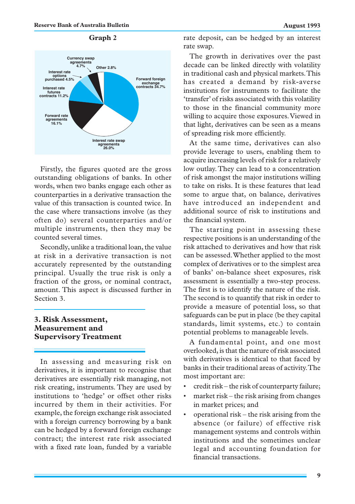

# **Graph 2**

Firstly, the figures quoted are the gross outstanding obligations of banks. In other words, when two banks engage each other as counterparties in a derivative transaction the value of this transaction is counted twice. In the case where transactions involve (as they often do) several counterparties and/or multiple instruments, then they may be counted several times.

Secondly, unlike a traditional loan, the value at risk in a derivative transaction is not accurately represented by the outstanding principal. Usually the true risk is only a fraction of the gross, or nominal contract, amount. This aspect is discussed further in Section 3.

# **3. Risk Assessment, Measurement and Supervisory Treatment**

In assessing and measuring risk on derivatives, it is important to recognise that derivatives are essentially risk managing, not risk creating, instruments. They are used by institutions to 'hedge' or offset other risks incurred by them in their activities. For example, the foreign exchange risk associated with a foreign currency borrowing by a bank can be hedged by a forward foreign exchange contract; the interest rate risk associated with a fixed rate loan, funded by a variable rate deposit, can be hedged by an interest rate swap.

The growth in derivatives over the past decade can be linked directly with volatility in traditional cash and physical markets. This has created a demand by risk-averse institutions for instruments to facilitate the 'transfer' of risks associated with this volatility to those in the financial community more willing to acquire those exposures. Viewed in that light, derivatives can be seen as a means of spreading risk more efficiently.

At the same time, derivatives can also provide leverage to users, enabling them to acquire increasing levels of risk for a relatively low outlay. They can lead to a concentration of risk amongst the major institutions willing to take on risks. It is these features that lead some to argue that, on balance, derivatives have introduced an independent and additional source of risk to institutions and the financial system.

The starting point in assessing these respective positions is an understanding of the risk attached to derivatives and how that risk can be assessed. Whether applied to the most complex of derivatives or to the simplest area of banks' on-balance sheet exposures, risk assessment is essentially a two-step process. The first is to identify the nature of the risk. The second is to quantify that risk in order to provide a measure of potential loss, so that safeguards can be put in place (be they capital standards, limit systems, etc.) to contain potential problems to manageable levels.

A fundamental point, and one most overlooked, is that the nature of risk associated with derivatives is identical to that faced by banks in their traditional areas of activity. The most important are:

- credit risk the risk of counterparty failure;
- market risk the risk arising from changes in market prices; and
- operational risk the risk arising from the absence (or failure) of effective risk management systems and controls within institutions and the sometimes unclear legal and accounting foundation for financial transactions.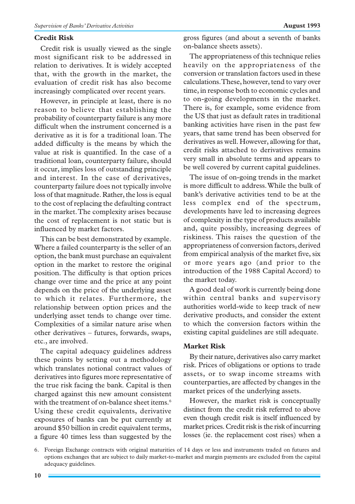#### **Credit Risk**

Credit risk is usually viewed as the single most significant risk to be addressed in relation to derivatives. It is widely accepted that, with the growth in the market, the evaluation of credit risk has also become increasingly complicated over recent years.

However, in principle at least, there is no reason to believe that establishing the probability of counterparty failure is any more difficult when the instrument concerned is a derivative as it is for a traditional loan. The added difficulty is the means by which the value at risk is quantified. In the case of a traditional loan, counterparty failure, should it occur, implies loss of outstanding principle and interest. In the case of derivatives, counterparty failure does not typically involve loss of that magnitude. Rather, the loss is equal to the cost of replacing the defaulting contract in the market. The complexity arises because the cost of replacement is not static but is influenced by market factors.

This can be best demonstrated by example. Where a failed counterparty is the seller of an option, the bank must purchase an equivalent option in the market to restore the original position. The difficulty is that option prices change over time and the price at any point depends on the price of the underlying asset to which it relates. Furthermore, the relationship between option prices and the underlying asset tends to change over time. Complexities of a similar nature arise when other derivatives – futures, forwards, swaps, etc., are involved.

The capital adequacy guidelines address these points by setting out a methodology which translates notional contract values of derivatives into figures more representative of the true risk facing the bank. Capital is then charged against this new amount consistent with the treatment of on-balance sheet items.<sup>6</sup> Using these credit equivalents, derivative exposures of banks can be put currently at around \$50 billion in credit equivalent terms, a figure 40 times less than suggested by the gross figures (and about a seventh of banks on-balance sheets assets).

The appropriateness of this technique relies heavily on the appropriateness of the conversion or translation factors used in these calculations. These, however, tend to vary over time, in response both to economic cycles and to on-going developments in the market. There is, for example, some evidence from the US that just as default rates in traditional banking activities have risen in the past few years, that same trend has been observed for derivatives as well. However, allowing for that, credit risks attached to derivatives remains very small in absolute terms and appears to be well covered by current capital guidelines.

The issue of on-going trends in the market is more difficult to address. While the bulk of bank's derivative activities tend to be at the less complex end of the spectrum, developments have led to increasing degrees of complexity in the type of products available and, quite possibly, increasing degrees of riskiness. This raises the question of the appropriateness of conversion factors, derived from empirical analysis of the market five, six or more years ago (and prior to the introduction of the 1988 Capital Accord) to the market today.

A good deal of work is currently being done within central banks and supervisory authorities world-wide to keep track of new derivative products, and consider the extent to which the conversion factors within the existing capital guidelines are still adequate.

#### **Market Risk**

By their nature, derivatives also carry market risk. Prices of obligations or options to trade assets, or to swap income streams with counterparties, are affected by changes in the market prices of the underlying assets.

However, the market risk is conceptually distinct from the credit risk referred to above even though credit risk is itself influenced by market prices. Credit risk is the risk of incurring losses (ie. the replacement cost rises) when a

<sup>6.</sup> Foreign Exchange contracts with original maturities of 14 days or less and instruments traded on futures and options exchanges that are subject to daily market-to-market and margin payments are excluded from the capital adequacy guidelines.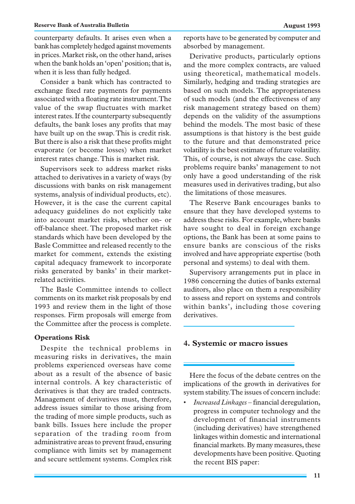counterparty defaults. It arises even when a bank has completely hedged against movements in prices. Market risk, on the other hand, arises when the bank holds an 'open' position; that is, when it is less than fully hedged.

Consider a bank which has contracted to exchange fixed rate payments for payments associated with a floating rate instrument. The value of the swap fluctuates with market interest rates. If the counterparty subsequently defaults, the bank loses any profits that may have built up on the swap. This is credit risk. But there is also a risk that these profits might evaporate (or become losses) when market interest rates change. This is market risk.

Supervisors seek to address market risks attached to derivatives in a variety of ways (by discussions with banks on risk management systems, analysis of individual products, etc). However, it is the case the current capital adequacy guidelines do not explicitly take into account market risks, whether on- or off-balance sheet. The proposed market risk standards which have been developed by the Basle Committee and released recently to the market for comment, extends the existing capital adequacy framework to incorporate risks generated by banks' in their marketrelated activities.

The Basle Committee intends to collect comments on its market risk proposals by end 1993 and review them in the light of those responses. Firm proposals will emerge from the Committee after the process is complete.

#### **Operations Risk**

Despite the technical problems in measuring risks in derivatives, the main problems experienced overseas have come about as a result of the absence of basic internal controls. A key characteristic of derivatives is that they are traded contracts. Management of derivatives must, therefore, address issues similar to those arising from the trading of more simple products, such as bank bills. Issues here include the proper separation of the trading room from administrative areas to prevent fraud, ensuring compliance with limits set by management and secure settlement systems. Complex risk reports have to be generated by computer and absorbed by management.

Derivative products, particularly options and the more complex contracts, are valued using theoretical, mathematical models. Similarly, hedging and trading strategies are based on such models. The appropriateness of such models (and the effectiveness of any risk management strategy based on them) depends on the validity of the assumptions behind the models. The most basic of these assumptions is that history is the best guide to the future and that demonstrated price volatility is the best estimate of future volatility. This, of course, is not always the case. Such problems require banks' management to not only have a good understanding of the risk measures used in derivatives trading, but also the limitations of those measures.

The Reserve Bank encourages banks to ensure that they have developed systems to address these risks. For example, where banks have sought to deal in foreign exchange options, the Bank has been at some pains to ensure banks are conscious of the risks involved and have appropriate expertise (both personal and systems) to deal with them.

Supervisory arrangements put in place in 1986 concerning the duties of banks external auditors, also place on them a responsibility to assess and report on systems and controls within banks', including those covering derivatives.

### **4. Systemic or macro issues**

Here the focus of the debate centres on the implications of the growth in derivatives for system stability. The issues of concern include:

• *Increased Linkages* – financial deregulation, progress in computer technology and the development of financial instruments (including derivatives) have strengthened linkages within domestic and international financial markets. By many measures, these developments have been positive. Quoting the recent BIS paper: